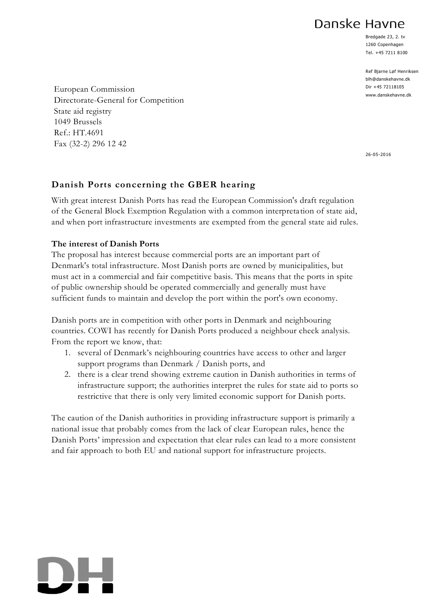# Danske Havne

Bredgade 23, 2. tv 1260 Copenhagen Tel. +45 7211 8100

Ref Bjarne Løf Henriksen blh@danskehavne.dk Dir +45 72118105 www.danskehavne.dk

European Commission Directorate-General for Competition State aid registry 1049 Brussels Ref.: HT.4691 Fax (32-2) 296 12 42

26-05-2016

# **Danish Ports concerning the GBER hearing**

With great interest Danish Ports has read the European Commission's draft regulation of the General Block Exemption Regulation with a common interpretation of state aid, and when port infrastructure investments are exempted from the general state aid rules.

# **The interest of Danish Ports**

The proposal has interest because commercial ports are an important part of Denmark's total infrastructure. Most Danish ports are owned by municipalities, but must act in a commercial and fair competitive basis. This means that the ports in spite of public ownership should be operated commercially and generally must have sufficient funds to maintain and develop the port within the port's own economy.

Danish ports are in competition with other ports in Denmark and neighbouring countries. COWI has recently for Danish Ports produced a neighbour check analysis. From the report we know, that:

- 1. several of Denmark's neighbouring countries have access to other and larger support programs than Denmark / Danish ports, and
- 2. there is a clear trend showing extreme caution in Danish authorities in terms of infrastructure support; the authorities interpret the rules for state aid to ports so restrictive that there is only very limited economic support for Danish ports.

The caution of the Danish authorities in providing infrastructure support is primarily a national issue that probably comes from the lack of clear European rules, hence the Danish Ports' impression and expectation that clear rules can lead to a more consistent and fair approach to both EU and national support for infrastructure projects.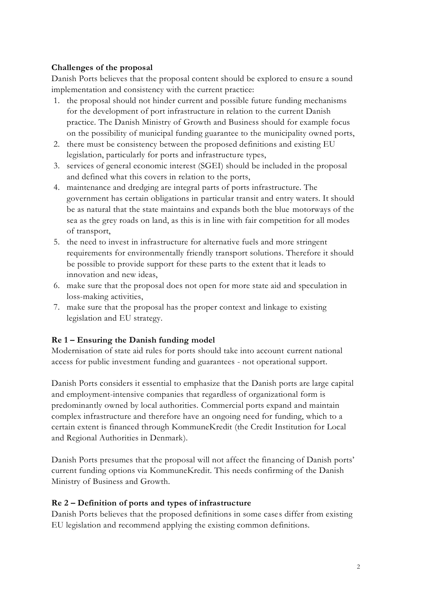# **Challenges of the proposal**

Danish Ports believes that the proposal content should be explored to ensure a sound implementation and consistency with the current practice:

- 1. the proposal should not hinder current and possible future funding mechanisms for the development of port infrastructure in relation to the current Danish practice. The Danish Ministry of Growth and Business should for example focus on the possibility of municipal funding guarantee to the municipality owned ports,
- 2. there must be consistency between the proposed definitions and existing EU legislation, particularly for ports and infrastructure types,
- 3. services of general economic interest (SGEI) should be included in the proposal and defined what this covers in relation to the ports,
- 4. maintenance and dredging are integral parts of ports infrastructure. The government has certain obligations in particular transit and entry waters. It should be as natural that the state maintains and expands both the blue motorways of the sea as the grey roads on land, as this is in line with fair competition for all modes of transport,
- 5. the need to invest in infrastructure for alternative fuels and more stringent requirements for environmentally friendly transport solutions. Therefore it should be possible to provide support for these parts to the extent that it leads to innovation and new ideas,
- 6. make sure that the proposal does not open for more state aid and speculation in loss-making activities,
- 7. make sure that the proposal has the proper context and linkage to existing legislation and EU strategy.

# **Re 1 – Ensuring the Danish funding model**

Modernisation of state aid rules for ports should take into account current national access for public investment funding and guarantees - not operational support.

Danish Ports considers it essential to emphasize that the Danish ports are large capital and employment-intensive companies that regardless of organizational form is predominantly owned by local authorities. Commercial ports expand and maintain complex infrastructure and therefore have an ongoing need for funding, which to a certain extent is financed through KommuneKredit (the Credit Institution for Local and Regional Authorities in Denmark).

Danish Ports presumes that the proposal will not affect the financing of Danish ports' current funding options via KommuneKredit. This needs confirming of the Danish Ministry of Business and Growth.

#### **Re 2 – Definition of ports and types of infrastructure**

Danish Ports believes that the proposed definitions in some cases differ from existing EU legislation and recommend applying the existing common definitions.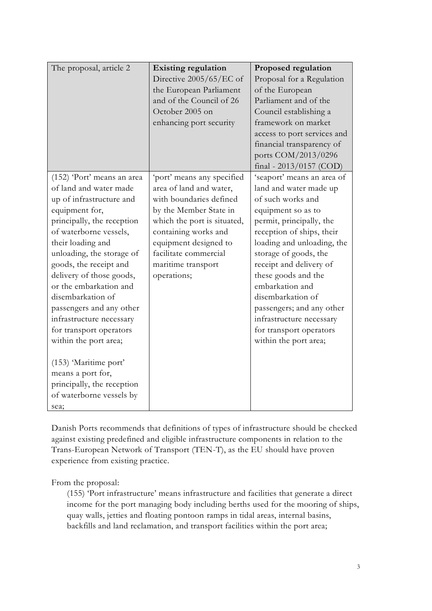| The proposal, article 2                                                                                                                                                                                                                                                                                                                                                                                                                                                                                                                       | <b>Existing regulation</b><br>Directive 2005/65/EC of<br>the European Parliament<br>and of the Council of 26<br>October 2005 on<br>enhancing port security                                                                                               | Proposed regulation<br>Proposal for a Regulation<br>of the European<br>Parliament and of the<br>Council establishing a<br>framework on market<br>access to port services and<br>financial transparency of<br>ports COM/2013/0296<br>final - $2013/0157$ (COD)                                                                                                                                                          |
|-----------------------------------------------------------------------------------------------------------------------------------------------------------------------------------------------------------------------------------------------------------------------------------------------------------------------------------------------------------------------------------------------------------------------------------------------------------------------------------------------------------------------------------------------|----------------------------------------------------------------------------------------------------------------------------------------------------------------------------------------------------------------------------------------------------------|------------------------------------------------------------------------------------------------------------------------------------------------------------------------------------------------------------------------------------------------------------------------------------------------------------------------------------------------------------------------------------------------------------------------|
| (152) 'Port' means an area<br>of land and water made<br>up of infrastructure and<br>equipment for,<br>principally, the reception<br>of waterborne vessels,<br>their loading and<br>unloading, the storage of<br>goods, the receipt and<br>delivery of those goods,<br>or the embarkation and<br>disembarkation of<br>passengers and any other<br>infrastructure necessary<br>for transport operators<br>within the port area;<br>(153) 'Maritime port'<br>means a port for,<br>principally, the reception<br>of waterborne vessels by<br>sea; | 'port' means any specified<br>area of land and water,<br>with boundaries defined<br>by the Member State in<br>which the port is situated,<br>containing works and<br>equipment designed to<br>facilitate commercial<br>maritime transport<br>operations; | 'seaport' means an area of<br>land and water made up<br>of such works and<br>equipment so as to<br>permit, principally, the<br>reception of ships, their<br>loading and unloading, the<br>storage of goods, the<br>receipt and delivery of<br>these goods and the<br>embarkation and<br>disembarkation of<br>passengers; and any other<br>infrastructure necessary<br>for transport operators<br>within the port area; |

Danish Ports recommends that definitions of types of infrastructure should be checked against existing predefined and eligible infrastructure components in relation to the Trans-European Network of Transport (TEN-T), as the EU should have proven experience from existing practice.

From the proposal:

(155) 'Port infrastructure' means infrastructure and facilities that generate a direct income for the port managing body including berths used for the mooring of ships, quay walls, jetties and floating pontoon ramps in tidal areas, internal basins, backfills and land reclamation, and transport facilities within the port area;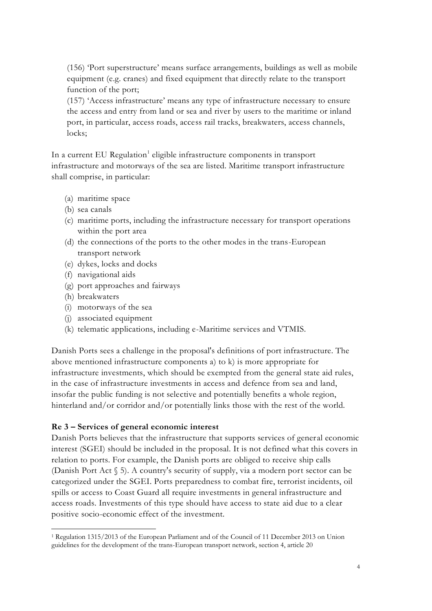(156) 'Port superstructure' means surface arrangements, buildings as well as mobile equipment (e.g. cranes) and fixed equipment that directly relate to the transport function of the port;

(157) 'Access infrastructure' means any type of infrastructure necessary to ensure the access and entry from land or sea and river by users to the maritime or inland port, in particular, access roads, access rail tracks, breakwaters, access channels, locks;

In a current EU Regulation<sup>1</sup> eligible infrastructure components in transport infrastructure and motorways of the sea are listed. Maritime transport infrastructure shall comprise, in particular:

- (a) maritime space
- (b) sea canals
- (c) maritime ports, including the infrastructure necessary for transport operations within the port area
- (d) the connections of the ports to the other modes in the trans-European transport network
- (e) dykes, locks and docks
- (f) navigational aids
- (g) port approaches and fairways
- (h) breakwaters
- (i) motorways of the sea
- (j) associated equipment
- (k) telematic applications, including e-Maritime services and VTMIS.

Danish Ports sees a challenge in the proposal's definitions of port infrastructure. The above mentioned infrastructure components a) to k) is more appropriate for infrastructure investments, which should be exempted from the general state aid rules, in the case of infrastructure investments in access and defence from sea and land, insofar the public funding is not selective and potentially benefits a whole region, hinterland and/or corridor and/or potentially links those with the rest of the world.

#### **Re 3 – Services of general economic interest**

Danish Ports believes that the infrastructure that supports services of general economic interest (SGEI) should be included in the proposal. It is not defined what this covers in relation to ports. For example, the Danish ports are obliged to receive ship calls (Danish Port Act § 5). A country's security of supply, via a modern port sector can be categorized under the SGEI. Ports preparedness to combat fire, terrorist incidents, oil spills or access to Coast Guard all require investments in general infrastructure and access roads. Investments of this type should have access to state aid due to a clear positive socio-economic effect of the investment.

 $\overline{a}$ <sup>1</sup> Regulation 1315/2013 of the European Parliament and of the Council of 11 December 2013 on Union guidelines for the development of the trans-European transport network, section 4, article 20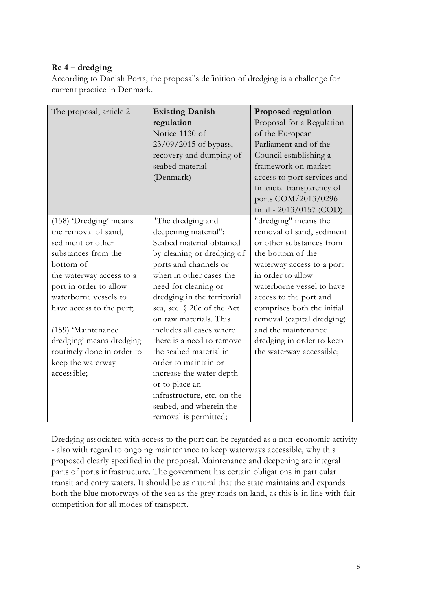# **Re 4 – dredging**

According to Danish Ports, the proposal's definition of dredging is a challenge for current practice in Denmark.

| The proposal, article 2    | <b>Existing Danish</b>      | Proposed regulation         |
|----------------------------|-----------------------------|-----------------------------|
|                            | regulation                  | Proposal for a Regulation   |
|                            | Notice 1130 of              | of the European             |
|                            | 23/09/2015 of bypass,       | Parliament and of the       |
|                            | recovery and dumping of     | Council establishing a      |
|                            | seabed material             | framework on market         |
|                            | (Denmark)                   | access to port services and |
|                            |                             | financial transparency of   |
|                            |                             | ports COM/2013/0296         |
|                            |                             | final - $2013/0157$ (COD)   |
| (158) 'Dredging' means     | "The dredging and           | "dredging" means the        |
| the removal of sand,       | deepening material":        | removal of sand, sediment   |
| sediment or other          | Seabed material obtained    | or other substances from    |
| substances from the        | by cleaning or dredging of  | the bottom of the           |
| bottom of                  | ports and channels or       | waterway access to a port   |
| the waterway access to a   | when in other cases the     | in order to allow           |
| port in order to allow     | need for cleaning or        | waterborne vessel to have   |
| waterborne vessels to      | dredging in the territorial | access to the port and      |
| have access to the port;   | sea, see. § 20c of the Act  | comprises both the initial  |
|                            | on raw materials. This      | removal (capital dredging)  |
| (159) Maintenance          | includes all cases where    | and the maintenance         |
| dredging' means dredging   | there is a need to remove   | dredging in order to keep   |
| routinely done in order to | the seabed material in      | the waterway accessible;    |
| keep the waterway          | order to maintain or        |                             |
| accessible;                | increase the water depth    |                             |
|                            | or to place an              |                             |
|                            | infrastructure, etc. on the |                             |
|                            | seabed, and wherein the     |                             |
|                            | removal is permitted;       |                             |

Dredging associated with access to the port can be regarded as a non-economic activity - also with regard to ongoing maintenance to keep waterways accessible, why this proposed clearly specified in the proposal. Maintenance and deepening are integral parts of ports infrastructure. The government has certain obligations in particular transit and entry waters. It should be as natural that the state maintains and expands both the blue motorways of the sea as the grey roads on land, as this is in line with fair competition for all modes of transport.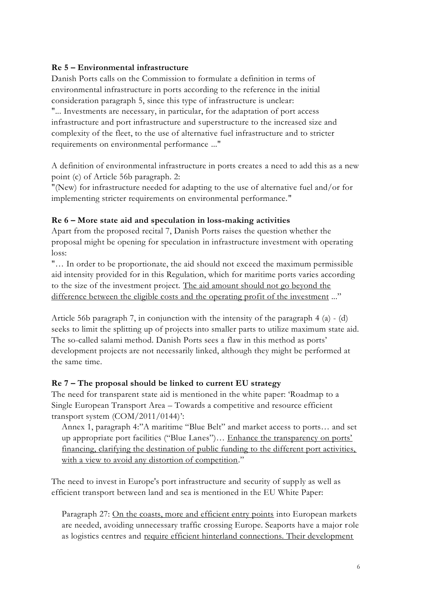### **Re 5 – Environmental infrastructure**

Danish Ports calls on the Commission to formulate a definition in terms of environmental infrastructure in ports according to the reference in the initial consideration paragraph 5, since this type of infrastructure is unclear: "... Investments are necessary, in particular, for the adaptation of port access infrastructure and port infrastructure and superstructure to the increased size and complexity of the fleet, to the use of alternative fuel infrastructure and to stricter requirements on environmental performance ..."

A definition of environmental infrastructure in ports creates a need to add this as a new point (c) of Article 56b paragraph. 2:

"(New) for infrastructure needed for adapting to the use of alternative fuel and/or for implementing stricter requirements on environmental performance."

### **Re 6 – More state aid and speculation in loss-making activities**

Apart from the proposed recital 7, Danish Ports raises the question whether the proposal might be opening for speculation in infrastructure investment with operating loss:

"… In order to be proportionate, the aid should not exceed the maximum permissible aid intensity provided for in this Regulation, which for maritime ports varies according to the size of the investment project. The aid amount should not go beyond the difference between the eligible costs and the operating profit of the investment ..."

Article 56b paragraph 7, in conjunction with the intensity of the paragraph 4 (a)  $-$  (d) seeks to limit the splitting up of projects into smaller parts to utilize maximum state aid. The so-called salami method. Danish Ports sees a flaw in this method as ports' development projects are not necessarily linked, although they might be performed at the same time.

# **Re 7 – The proposal should be linked to current EU strategy**

The need for transparent state aid is mentioned in the white paper: 'Roadmap to a Single European Transport Area – Towards a competitive and resource efficient transport system (COM/2011/0144)':

Annex 1, paragraph 4:"A maritime "Blue Belt" and market access to ports… and set up appropriate port facilities ("Blue Lanes")... Enhance the transparency on ports' financing, clarifying the destination of public funding to the different port activities, with a view to avoid any distortion of competition."

The need to invest in Europe's port infrastructure and security of supply as well as efficient transport between land and sea is mentioned in the EU White Paper:

Paragraph 27: On the coasts, more and efficient entry points into European markets are needed, avoiding unnecessary traffic crossing Europe. Seaports have a major role as logistics centres and require efficient hinterland connections. Their development